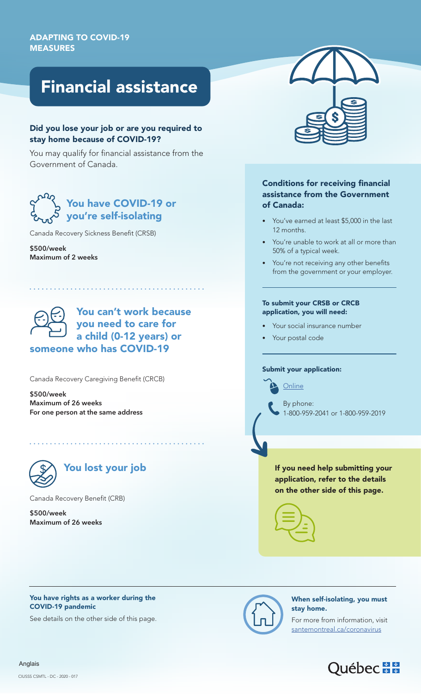# Financial assistance

#### Did you lose your job or are you required to stay home because of COVID-19?

You may qualify for financial assistance from the Government of Canada.

## You have COVID-19 or you're self-isolating

Canada Recovery Sickness Benefit (CRSB)

**\$500/week Maximum of 2 weeks**

You can't work because you need to care for a child (0-12 years) or someone who has COVID-19

Canada Recovery Caregiving Benefit (CRCB)

**\$500/week Maximum of 26 weeks For one person at the same address**



Canada Recovery Benefit (CRB)

**\$500/week Maximum of 26 weeks**

### Conditions for receiving financial assistance from the Government of Canada:

- You've earned at least \$5,000 in the last 12 months.
- You're unable to work at all or more than 50% of a typical week.
- You're not receiving any other benefits from the government or your employer.

#### To submit your CRSB or CRCB application, you will need:

- Your social insurance number
- Your postal code

#### Submit your application:

**[Online](https://www.canada.ca/en/services/benefits/covid19-emergency-benefits.html)** 

By phone: 1-800-959-2041 or 1-800-959-2019

If you need help submitting your application, refer to the details on the other side of this page.





See details on the other side of this page.



#### When self-isolating, you must stay home.

For more from information, visit [santemontreal.ca/coronavirus](https://santemontreal.qc.ca/en/public/coronavirus-covid-19/informations-multilingues/)